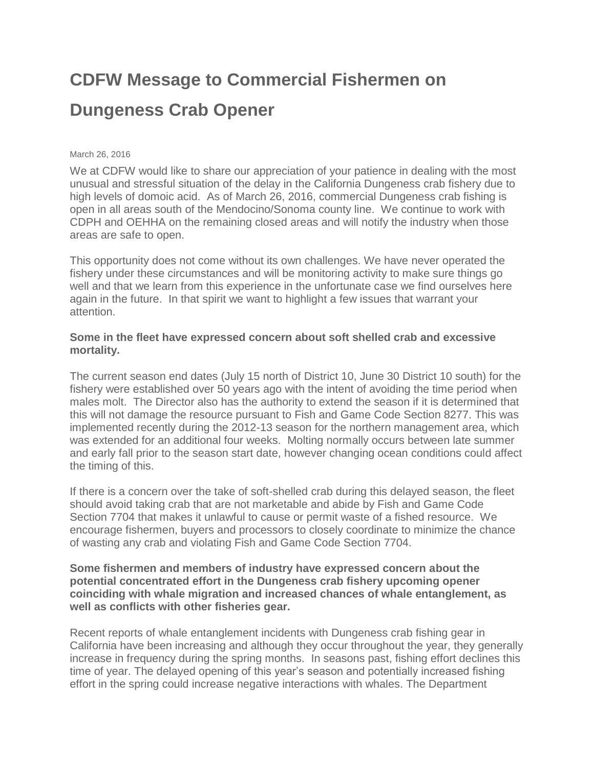## **CDFW Message to Commercial Fishermen on Dungeness Crab Opener**

## March 26, 2016

We at CDFW would like to share our appreciation of your patience in dealing with the most unusual and stressful situation of the delay in the California Dungeness crab fishery due to high levels of domoic acid. As of March 26, 2016, commercial Dungeness crab fishing is open in all areas south of the Mendocino/Sonoma county line. We continue to work with CDPH and OEHHA on the remaining closed areas and will notify the industry when those areas are safe to open.

This opportunity does not come without its own challenges. We have never operated the fishery under these circumstances and will be monitoring activity to make sure things go well and that we learn from this experience in the unfortunate case we find ourselves here again in the future. In that spirit we want to highlight a few issues that warrant your attention.

## **Some in the fleet have expressed concern about soft shelled crab and excessive mortality.**

The current season end dates (July 15 north of District 10, June 30 District 10 south) for the fishery were established over 50 years ago with the intent of avoiding the time period when males molt. The Director also has the authority to extend the season if it is determined that this will not damage the resource pursuant to Fish and Game Code Section 8277. This was implemented recently during the 2012-13 season for the northern management area, which was extended for an additional four weeks. Molting normally occurs between late summer and early fall prior to the season start date, however changing ocean conditions could affect the timing of this.

If there is a concern over the take of soft-shelled crab during this delayed season, the fleet should avoid taking crab that are not marketable and abide by Fish and Game Code Section 7704 that makes it unlawful to cause or permit waste of a fished resource. We encourage fishermen, buyers and processors to closely coordinate to minimize the chance of wasting any crab and violating Fish and Game Code Section 7704.

## **Some fishermen and members of industry have expressed concern about the potential concentrated effort in the Dungeness crab fishery upcoming opener coinciding with whale migration and increased chances of whale entanglement, as well as conflicts with other fisheries gear.**

Recent reports of whale entanglement incidents with Dungeness crab fishing gear in California have been increasing and although they occur throughout the year, they generally increase in frequency during the spring months. In seasons past, fishing effort declines this time of year. The delayed opening of this year's season and potentially increased fishing effort in the spring could increase negative interactions with whales. The Department